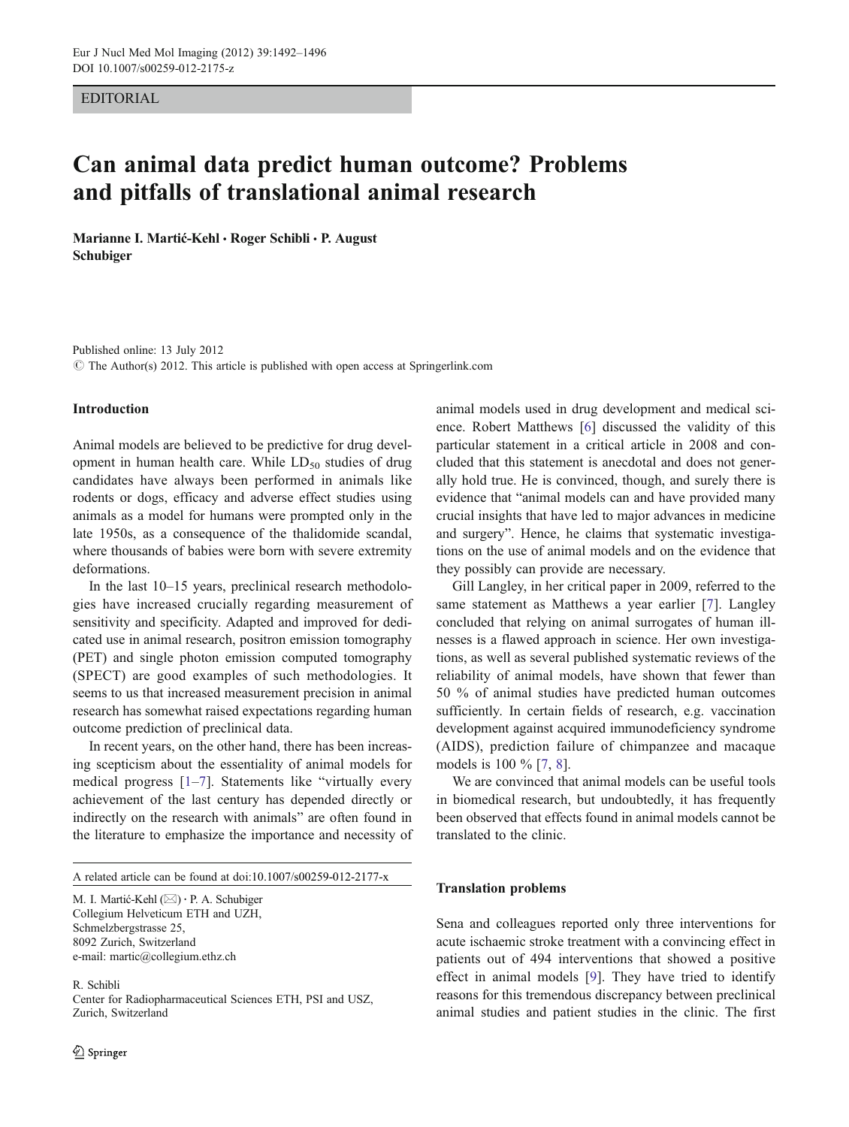## EDITORIAL

# Can animal data predict human outcome? Problems and pitfalls of translational animal research

Marianne I. Martić-Kehl · Roger Schibli · P. August Schubiger

Published online: 13 July 2012  $\odot$  The Author(s) 2012. This article is published with open access at Springerlink.com

#### Introduction

Animal models are believed to be predictive for drug development in human health care. While  $LD_{50}$  studies of drug candidates have always been performed in animals like rodents or dogs, efficacy and adverse effect studies using animals as a model for humans were prompted only in the late 1950s, as a consequence of the thalidomide scandal, where thousands of babies were born with severe extremity deformations.

In the last 10–15 years, preclinical research methodologies have increased crucially regarding measurement of sensitivity and specificity. Adapted and improved for dedicated use in animal research, positron emission tomography (PET) and single photon emission computed tomography (SPECT) are good examples of such methodologies. It seems to us that increased measurement precision in animal research has somewhat raised expectations regarding human outcome prediction of preclinical data.

In recent years, on the other hand, there has been increasing scepticism about the essentiality of animal models for medical progress  $[1-7]$  $[1-7]$  $[1-7]$ . Statements like "virtually every achievement of the last century has depended directly or indirectly on the research with animals" are often found in the literature to emphasize the importance and necessity of

A related article can be found at doi:[10.1007/s00259-012-2177-x](http://dx.doi.org/10.1007/s00259-012-2177-x)

R. Schibli Center for Radiopharmaceutical Sciences ETH, PSI and USZ, Zurich, Switzerland

animal models used in drug development and medical science. Robert Matthews [[6](#page-3-0)] discussed the validity of this particular statement in a critical article in 2008 and concluded that this statement is anecdotal and does not generally hold true. He is convinced, though, and surely there is evidence that "animal models can and have provided many crucial insights that have led to major advances in medicine and surgery". Hence, he claims that systematic investigations on the use of animal models and on the evidence that they possibly can provide are necessary.

Gill Langley, in her critical paper in 2009, referred to the same statement as Matthews a year earlier [[7\]](#page-3-0). Langley concluded that relying on animal surrogates of human illnesses is a flawed approach in science. Her own investigations, as well as several published systematic reviews of the reliability of animal models, have shown that fewer than 50 % of animal studies have predicted human outcomes sufficiently. In certain fields of research, e.g. vaccination development against acquired immunodeficiency syndrome (AIDS), prediction failure of chimpanzee and macaque models is 100 % [[7,](#page-3-0) [8](#page-3-0)].

We are convinced that animal models can be useful tools in biomedical research, but undoubtedly, it has frequently been observed that effects found in animal models cannot be translated to the clinic.

#### Translation problems

Sena and colleagues reported only three interventions for acute ischaemic stroke treatment with a convincing effect in patients out of 494 interventions that showed a positive effect in animal models [[9](#page-3-0)]. They have tried to identify reasons for this tremendous discrepancy between preclinical animal studies and patient studies in the clinic. The first

M. I. Martić-Kehl (⊠) · P. A. Schubiger Collegium Helveticum ETH and UZH, Schmelzbergstrasse 25, 8092 Zurich, Switzerland e-mail: martic@collegium.ethz.ch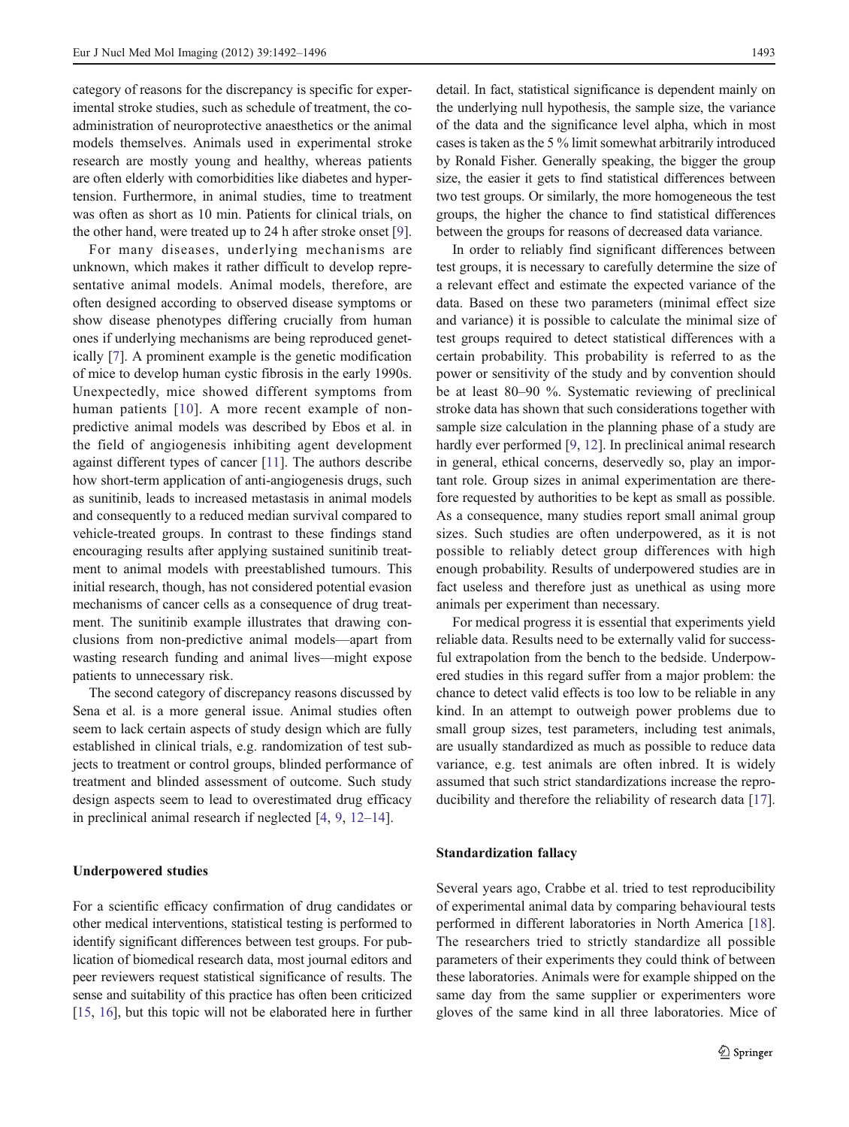category of reasons for the discrepancy is specific for experimental stroke studies, such as schedule of treatment, the coadministration of neuroprotective anaesthetics or the animal models themselves. Animals used in experimental stroke research are mostly young and healthy, whereas patients are often elderly with comorbidities like diabetes and hypertension. Furthermore, in animal studies, time to treatment was often as short as 10 min. Patients for clinical trials, on the other hand, were treated up to 24 h after stroke onset [\[9](#page-3-0)].

For many diseases, underlying mechanisms are unknown, which makes it rather difficult to develop representative animal models. Animal models, therefore, are often designed according to observed disease symptoms or show disease phenotypes differing crucially from human ones if underlying mechanisms are being reproduced genetically [\[7](#page-3-0)]. A prominent example is the genetic modification of mice to develop human cystic fibrosis in the early 1990s. Unexpectedly, mice showed different symptoms from human patients [[10](#page-3-0)]. A more recent example of nonpredictive animal models was described by Ebos et al. in the field of angiogenesis inhibiting agent development against different types of cancer [[11](#page-3-0)]. The authors describe how short-term application of anti-angiogenesis drugs, such as sunitinib, leads to increased metastasis in animal models and consequently to a reduced median survival compared to vehicle-treated groups. In contrast to these findings stand encouraging results after applying sustained sunitinib treatment to animal models with preestablished tumours. This initial research, though, has not considered potential evasion mechanisms of cancer cells as a consequence of drug treatment. The sunitinib example illustrates that drawing conclusions from non-predictive animal models—apart from wasting research funding and animal lives—might expose patients to unnecessary risk.

The second category of discrepancy reasons discussed by Sena et al. is a more general issue. Animal studies often seem to lack certain aspects of study design which are fully established in clinical trials, e.g. randomization of test subjects to treatment or control groups, blinded performance of treatment and blinded assessment of outcome. Such study design aspects seem to lead to overestimated drug efficacy in preclinical animal research if neglected [[4,](#page-3-0) [9](#page-3-0), [12](#page-3-0)–[14\]](#page-3-0).

#### Underpowered studies

For a scientific efficacy confirmation of drug candidates or other medical interventions, statistical testing is performed to identify significant differences between test groups. For publication of biomedical research data, most journal editors and peer reviewers request statistical significance of results. The sense and suitability of this practice has often been criticized [\[15,](#page-3-0) [16](#page-3-0)], but this topic will not be elaborated here in further detail. In fact, statistical significance is dependent mainly on the underlying null hypothesis, the sample size, the variance of the data and the significance level alpha, which in most cases is taken as the 5 % limit somewhat arbitrarily introduced by Ronald Fisher. Generally speaking, the bigger the group size, the easier it gets to find statistical differences between two test groups. Or similarly, the more homogeneous the test groups, the higher the chance to find statistical differences between the groups for reasons of decreased data variance.

In order to reliably find significant differences between test groups, it is necessary to carefully determine the size of a relevant effect and estimate the expected variance of the data. Based on these two parameters (minimal effect size and variance) it is possible to calculate the minimal size of test groups required to detect statistical differences with a certain probability. This probability is referred to as the power or sensitivity of the study and by convention should be at least 80–90 %. Systematic reviewing of preclinical stroke data has shown that such considerations together with sample size calculation in the planning phase of a study are hardly ever performed [[9,](#page-3-0) [12\]](#page-3-0). In preclinical animal research in general, ethical concerns, deservedly so, play an important role. Group sizes in animal experimentation are therefore requested by authorities to be kept as small as possible. As a consequence, many studies report small animal group sizes. Such studies are often underpowered, as it is not possible to reliably detect group differences with high enough probability. Results of underpowered studies are in fact useless and therefore just as unethical as using more animals per experiment than necessary.

For medical progress it is essential that experiments yield reliable data. Results need to be externally valid for successful extrapolation from the bench to the bedside. Underpowered studies in this regard suffer from a major problem: the chance to detect valid effects is too low to be reliable in any kind. In an attempt to outweigh power problems due to small group sizes, test parameters, including test animals, are usually standardized as much as possible to reduce data variance, e.g. test animals are often inbred. It is widely assumed that such strict standardizations increase the reproducibility and therefore the reliability of research data [[17\]](#page-3-0).

## Standardization fallacy

Several years ago, Crabbe et al. tried to test reproducibility of experimental animal data by comparing behavioural tests performed in different laboratories in North America [[18\]](#page-3-0). The researchers tried to strictly standardize all possible parameters of their experiments they could think of between these laboratories. Animals were for example shipped on the same day from the same supplier or experimenters wore gloves of the same kind in all three laboratories. Mice of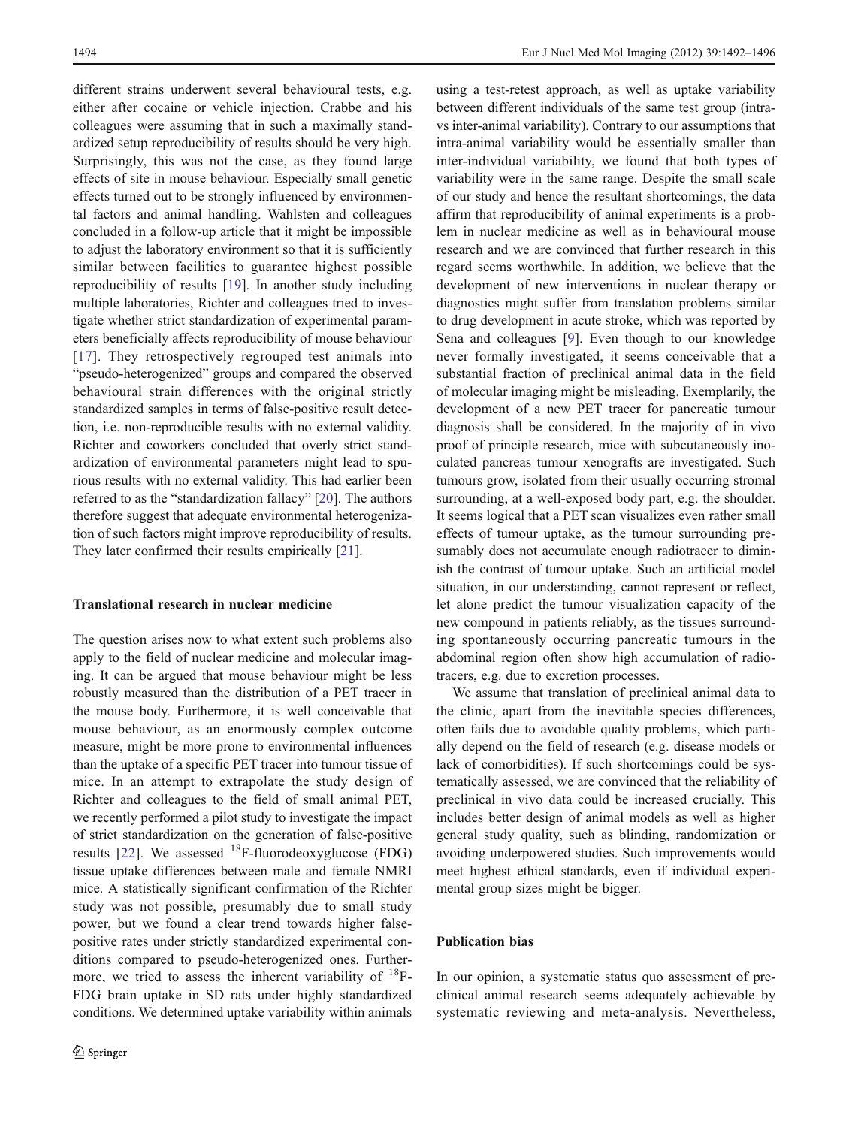different strains underwent several behavioural tests, e.g. either after cocaine or vehicle injection. Crabbe and his colleagues were assuming that in such a maximally standardized setup reproducibility of results should be very high. Surprisingly, this was not the case, as they found large effects of site in mouse behaviour. Especially small genetic effects turned out to be strongly influenced by environmental factors and animal handling. Wahlsten and colleagues concluded in a follow-up article that it might be impossible to adjust the laboratory environment so that it is sufficiently similar between facilities to guarantee highest possible reproducibility of results [[19\]](#page-3-0). In another study including multiple laboratories, Richter and colleagues tried to investigate whether strict standardization of experimental parameters beneficially affects reproducibility of mouse behaviour [\[17\]](#page-3-0). They retrospectively regrouped test animals into "pseudo-heterogenized" groups and compared the observed behavioural strain differences with the original strictly standardized samples in terms of false-positive result detection, i.e. non-reproducible results with no external validity. Richter and coworkers concluded that overly strict standardization of environmental parameters might lead to spurious results with no external validity. This had earlier been referred to as the "standardization fallacy" [[20\]](#page-4-0). The authors therefore suggest that adequate environmental heterogenization of such factors might improve reproducibility of results. They later confirmed their results empirically [[21\]](#page-4-0).

### Translational research in nuclear medicine

The question arises now to what extent such problems also apply to the field of nuclear medicine and molecular imaging. It can be argued that mouse behaviour might be less robustly measured than the distribution of a PET tracer in the mouse body. Furthermore, it is well conceivable that mouse behaviour, as an enormously complex outcome measure, might be more prone to environmental influences than the uptake of a specific PET tracer into tumour tissue of mice. In an attempt to extrapolate the study design of Richter and colleagues to the field of small animal PET, we recently performed a pilot study to investigate the impact of strict standardization on the generation of false-positive results [[22](#page-4-0)]. We assessed  $^{18}$ F-fluorodeoxyglucose (FDG) tissue uptake differences between male and female NMRI mice. A statistically significant confirmation of the Richter study was not possible, presumably due to small study power, but we found a clear trend towards higher falsepositive rates under strictly standardized experimental conditions compared to pseudo-heterogenized ones. Furthermore, we tried to assess the inherent variability of  $^{18}$ F-FDG brain uptake in SD rats under highly standardized conditions. We determined uptake variability within animals

using a test-retest approach, as well as uptake variability between different individuals of the same test group (intravs inter-animal variability). Contrary to our assumptions that intra-animal variability would be essentially smaller than inter-individual variability, we found that both types of variability were in the same range. Despite the small scale of our study and hence the resultant shortcomings, the data affirm that reproducibility of animal experiments is a problem in nuclear medicine as well as in behavioural mouse research and we are convinced that further research in this regard seems worthwhile. In addition, we believe that the development of new interventions in nuclear therapy or diagnostics might suffer from translation problems similar to drug development in acute stroke, which was reported by Sena and colleagues [\[9](#page-3-0)]. Even though to our knowledge never formally investigated, it seems conceivable that a substantial fraction of preclinical animal data in the field of molecular imaging might be misleading. Exemplarily, the development of a new PET tracer for pancreatic tumour diagnosis shall be considered. In the majority of in vivo proof of principle research, mice with subcutaneously inoculated pancreas tumour xenografts are investigated. Such tumours grow, isolated from their usually occurring stromal surrounding, at a well-exposed body part, e.g. the shoulder. It seems logical that a PET scan visualizes even rather small effects of tumour uptake, as the tumour surrounding presumably does not accumulate enough radiotracer to diminish the contrast of tumour uptake. Such an artificial model situation, in our understanding, cannot represent or reflect, let alone predict the tumour visualization capacity of the new compound in patients reliably, as the tissues surrounding spontaneously occurring pancreatic tumours in the abdominal region often show high accumulation of radiotracers, e.g. due to excretion processes.

We assume that translation of preclinical animal data to the clinic, apart from the inevitable species differences, often fails due to avoidable quality problems, which partially depend on the field of research (e.g. disease models or lack of comorbidities). If such shortcomings could be systematically assessed, we are convinced that the reliability of preclinical in vivo data could be increased crucially. This includes better design of animal models as well as higher general study quality, such as blinding, randomization or avoiding underpowered studies. Such improvements would meet highest ethical standards, even if individual experimental group sizes might be bigger.

## Publication bias

In our opinion, a systematic status quo assessment of preclinical animal research seems adequately achievable by systematic reviewing and meta-analysis. Nevertheless,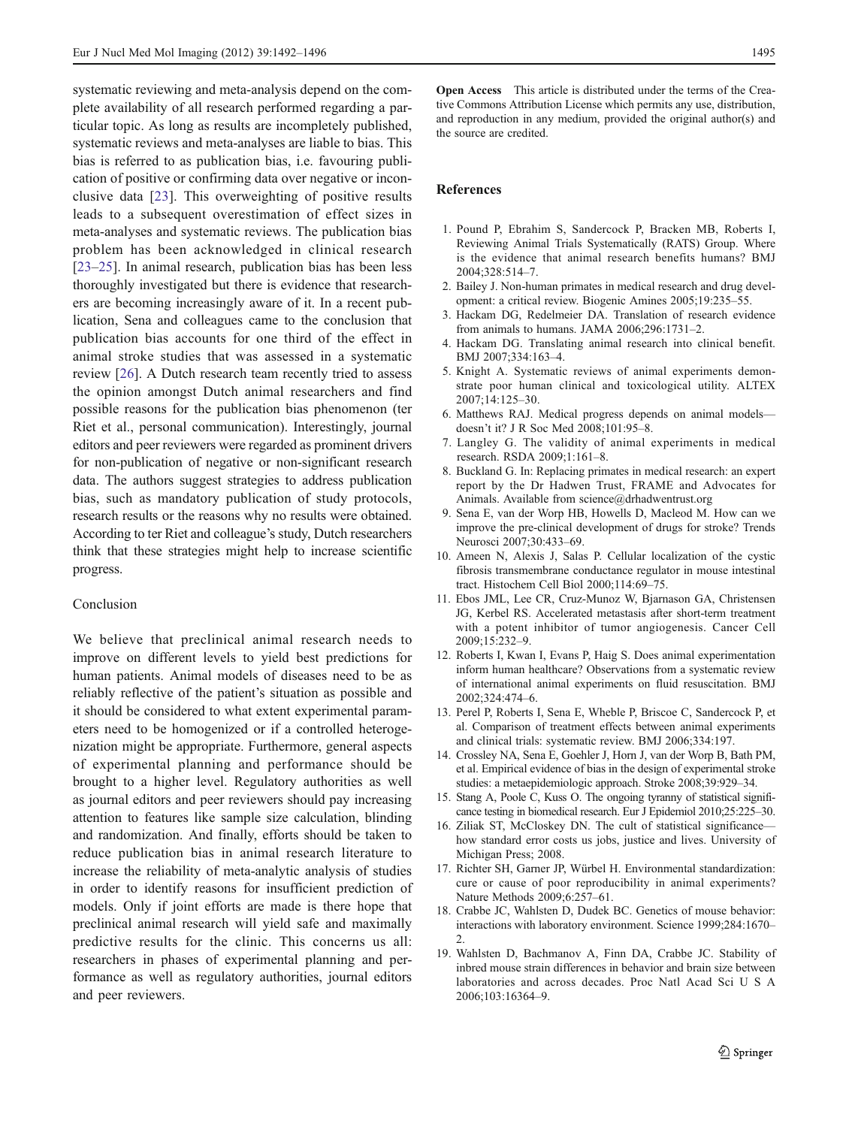<span id="page-3-0"></span>systematic reviewing and meta-analysis depend on the complete availability of all research performed regarding a particular topic. As long as results are incompletely published, systematic reviews and meta-analyses are liable to bias. This bias is referred to as publication bias, i.e. favouring publication of positive or confirming data over negative or inconclusive data [\[23\]](#page-4-0). This overweighting of positive results leads to a subsequent overestimation of effect sizes in meta-analyses and systematic reviews. The publication bias problem has been acknowledged in clinical research [\[23](#page-4-0)–[25](#page-4-0)]. In animal research, publication bias has been less thoroughly investigated but there is evidence that researchers are becoming increasingly aware of it. In a recent publication, Sena and colleagues came to the conclusion that publication bias accounts for one third of the effect in animal stroke studies that was assessed in a systematic review [\[26](#page-4-0)]. A Dutch research team recently tried to assess the opinion amongst Dutch animal researchers and find possible reasons for the publication bias phenomenon (ter Riet et al., personal communication). Interestingly, journal editors and peer reviewers were regarded as prominent drivers for non-publication of negative or non-significant research data. The authors suggest strategies to address publication bias, such as mandatory publication of study protocols, research results or the reasons why no results were obtained. According to ter Riet and colleague's study, Dutch researchers think that these strategies might help to increase scientific progress.

## Conclusion

We believe that preclinical animal research needs to improve on different levels to yield best predictions for human patients. Animal models of diseases need to be as reliably reflective of the patient's situation as possible and it should be considered to what extent experimental parameters need to be homogenized or if a controlled heterogenization might be appropriate. Furthermore, general aspects of experimental planning and performance should be brought to a higher level. Regulatory authorities as well as journal editors and peer reviewers should pay increasing attention to features like sample size calculation, blinding and randomization. And finally, efforts should be taken to reduce publication bias in animal research literature to increase the reliability of meta-analytic analysis of studies in order to identify reasons for insufficient prediction of models. Only if joint efforts are made is there hope that preclinical animal research will yield safe and maximally predictive results for the clinic. This concerns us all: researchers in phases of experimental planning and performance as well as regulatory authorities, journal editors and peer reviewers.

Open Access This article is distributed under the terms of the Creative Commons Attribution License which permits any use, distribution, and reproduction in any medium, provided the original author(s) and the source are credited.

#### References

- 1. Pound P, Ebrahim S, Sandercock P, Bracken MB, Roberts I, Reviewing Animal Trials Systematically (RATS) Group. Where is the evidence that animal research benefits humans? BMJ 2004;328:514–7.
- 2. Bailey J. Non-human primates in medical research and drug development: a critical review. Biogenic Amines 2005;19:235–55.
- 3. Hackam DG, Redelmeier DA. Translation of research evidence from animals to humans. JAMA 2006;296:1731–2.
- 4. Hackam DG. Translating animal research into clinical benefit. BMJ 2007;334:163–4.
- 5. Knight A. Systematic reviews of animal experiments demonstrate poor human clinical and toxicological utility. ALTEX 2007;14:125–30.
- 6. Matthews RAJ. Medical progress depends on animal models doesn't it? J R Soc Med 2008;101:95–8.
- 7. Langley G. The validity of animal experiments in medical research. RSDA 2009;1:161–8.
- 8. Buckland G. In: Replacing primates in medical research: an expert report by the Dr Hadwen Trust, FRAME and Advocates for Animals. Available from science@drhadwentrust.org
- 9. Sena E, van der Worp HB, Howells D, Macleod M. How can we improve the pre-clinical development of drugs for stroke? Trends Neurosci 2007;30:433–69.
- 10. Ameen N, Alexis J, Salas P. Cellular localization of the cystic fibrosis transmembrane conductance regulator in mouse intestinal tract. Histochem Cell Biol 2000;114:69–75.
- 11. Ebos JML, Lee CR, Cruz-Munoz W, Bjarnason GA, Christensen JG, Kerbel RS. Accelerated metastasis after short-term treatment with a potent inhibitor of tumor angiogenesis. Cancer Cell 2009;15:232–9.
- 12. Roberts I, Kwan I, Evans P, Haig S. Does animal experimentation inform human healthcare? Observations from a systematic review of international animal experiments on fluid resuscitation. BMJ 2002;324:474–6.
- 13. Perel P, Roberts I, Sena E, Wheble P, Briscoe C, Sandercock P, et al. Comparison of treatment effects between animal experiments and clinical trials: systematic review. BMJ 2006;334:197.
- 14. Crossley NA, Sena E, Goehler J, Horn J, van der Worp B, Bath PM, et al. Empirical evidence of bias in the design of experimental stroke studies: a metaepidemiologic approach. Stroke 2008;39:929–34.
- 15. Stang A, Poole C, Kuss O. The ongoing tyranny of statistical significance testing in biomedical research. Eur J Epidemiol 2010;25:225–30.
- 16. Ziliak ST, McCloskey DN. The cult of statistical significance how standard error costs us jobs, justice and lives. University of Michigan Press; 2008.
- 17. Richter SH, Garner JP, Würbel H. Environmental standardization: cure or cause of poor reproducibility in animal experiments? Nature Methods 2009;6:257–61.
- 18. Crabbe JC, Wahlsten D, Dudek BC. Genetics of mouse behavior: interactions with laboratory environment. Science 1999;284:1670– 2.
- 19. Wahlsten D, Bachmanov A, Finn DA, Crabbe JC. Stability of inbred mouse strain differences in behavior and brain size between laboratories and across decades. Proc Natl Acad Sci U S A 2006;103:16364–9.